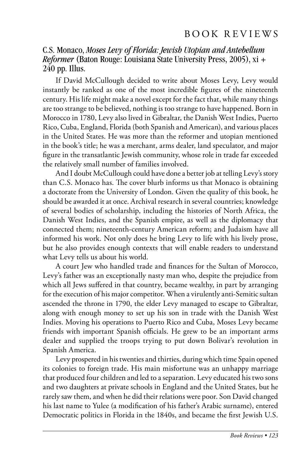# B O O K R E V I E W S

C.S. Monaco, *Moses Levy of Florida: Jewish Utopian and Antebellum Reformer* (Baton Rouge: Louisiana State University Press, 2005), xi + 240 pp. Illus.

If David McCullough decided to write about Moses Levy, Levy would instantly be ranked as one of the most incredible figures of the nineteenth century. His life might make a novel except for the fact that, while many things are too strange to be believed, nothing is too strange to have happened. Born in Morocco in 1780, Levy also lived in Gibraltar, the Danish West Indies, Puerto Rico, Cuba, England, Florida (both Spanish and American), and various places in the United States. He was more than the reformer and utopian mentioned in the book's title; he was a merchant, arms dealer, land speculator, and major figure in the transatlantic Jewish community, whose role in trade far exceeded the relatively small number of families involved.

And I doubt McCullough could have done a better job at telling Levy's story than C.S. Monaco has. The cover blurb informs us that Monaco is obtaining a doctorate from the University of London. Given the quality of this book, he should be awarded it at once. Archival research in several countries; knowledge of several bodies of scholarship, including the histories of North Africa, the Danish West Indies, and the Spanish empire, as well as the diplomacy that connected them; nineteenth-century American reform; and Judaism have all informed his work. Not only does he bring Levy to life with his lively prose, but he also provides enough contexts that will enable readers to understand what Levy tells us about his world.

A court Jew who handled trade and finances for the Sultan of Morocco, Levy's father was an exceptionally nasty man who, despite the prejudice from which all Jews suffered in that country, became wealthy, in part by arranging for the execution of his major competitor. When a virulently anti-Semitic sultan ascended the throne in 1790, the elder Levy managed to escape to Gibraltar, along with enough money to set up his son in trade with the Danish West Indies. Moving his operations to Puerto Rico and Cuba, Moses Levy became friends with important Spanish officials. He grew to be an important arms dealer and supplied the troops trying to put down Bolivar's revolution in Spanish America.

Levy prospered in his twenties and thirties, during which time Spain opened its colonies to foreign trade. His main misfortune was an unhappy marriage that produced four children and led to a separation. Levy educated his two sons and two daughters at private schools in England and the United States, but he rarely saw them, and when he did their relations were poor. Son David changed his last name to Yulee (a modification of his father's Arabic surname), entered Democratic politics in Florida in the 1840s, and became the first Jewish U.S.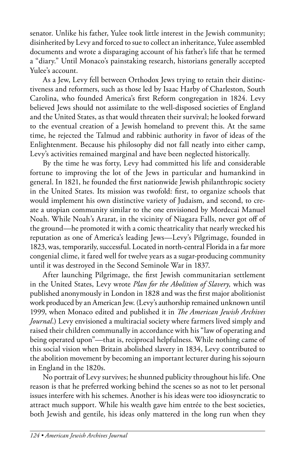senator. Unlike his father, Yulee took little interest in the Jewish community; disinherited by Levy and forced to sue to collect an inheritance, Yulee assembled documents and wrote a disparaging account of his father's life that he termed a "diary." Until Monaco's painstaking research, historians generally accepted Yulee's account.

As a Jew, Levy fell between Orthodox Jews trying to retain their distinctiveness and reformers, such as those led by Isaac Harby of Charleston, South Carolina, who founded America's first Reform congregation in 1824. Levy believed Jews should not assimilate to the well-disposed societies of England and the United States, as that would threaten their survival; he looked forward to the eventual creation of a Jewish homeland to prevent this. At the same time, he rejected the Talmud and rabbinic authority in favor of ideas of the Enlightenment. Because his philosophy did not fall neatly into either camp, Levy's activities remained marginal and have been neglected historically.

By the time he was forty, Levy had committed his life and considerable fortune to improving the lot of the Jews in particular and humankind in general. In 1821, he founded the first nationwide Jewish philanthropic society in the United States. Its mission was twofold: first, to organize schools that would implement his own distinctive variety of Judaism, and second, to create a utopian community similar to the one envisioned by Mordecai Manuel Noah. While Noah's Ararat, in the vicinity of Niagara Falls, never got off of the ground—he promoted it with a comic theatricality that nearly wrecked his reputation as one of America's leading Jews—Levy's Pilgrimage, founded in 1823, was, temporarily, successful. Located in north-central Florida in a far more congenial clime, it fared well for twelve years as a sugar-producing community until it was destroyed in the Second Seminole War in 1837.

After launching Pilgrimage, the first Jewish communitarian settlement in the United States, Levy wrote *Plan for the Abolition of Slavery,* which was published anonymously in London in 1828 and was the first major abolitionist work produced by an American Jew. (Levy's authorship remained unknown until 1999, when Monaco edited and published it in *The American Jewish Archives Journal*.) Levy envisioned a multiracial society where farmers lived simply and raised their children communally in accordance with his "law of operating and being operated upon"—that is, reciprocal helpfulness. While nothing came of this social vision when Britain abolished slavery in 1834, Levy contributed to the abolition movement by becoming an important lecturer during his sojourn in England in the 1820s.

No portrait of Levy survives; he shunned publicity throughout his life. One reason is that he preferred working behind the scenes so as not to let personal issues interfere with his schemes. Another is his ideas were too idiosyncratic to attract much support. While his wealth gave him entrée to the best societies, both Jewish and gentile, his ideas only mattered in the long run when they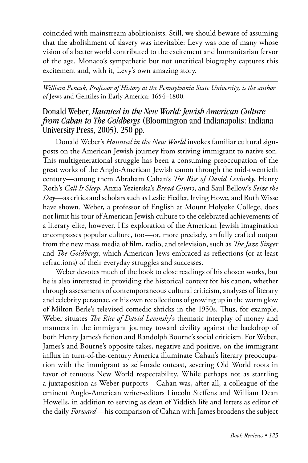coincided with mainstream abolitionists. Still, we should beware of assuming that the abolishment of slavery was inevitable: Levy was one of many whose vision of a better world contributed to the excitement and humanitarian fervor of the age. Monaco's sympathetic but not uncritical biography captures this excitement and, with it, Levy's own amazing story.

*William Pencak, Professor of History at the Pennsylvania State University, is the author of* Jews and Gentiles in Early America: 1654–1800*.* 

# Donald Weber, *Haunted in the New World: Jewish American Culture from Cahan to The Goldbergs* (Bloomington and Indianapolis: Indiana University Press, 2005), 250 pp.

Donald Weber's *Haunted in the New World* invokes familiar cultural signposts on the American Jewish journey from striving immigrant to native son. This multigenerational struggle has been a consuming preoccupation of the great works of the Anglo-American Jewish canon through the mid-twentieth century—among them Abraham Cahan's *The Rise of David Levinsky*, Henry Roth's *Call It Sleep*, Anzia Yezierska's *Bread Givers*, and Saul Bellow's *Seize the Day*—as critics and scholars such as Leslie Fiedler, Irving Howe, and Ruth Wisse have shown. Weber, a professor of English at Mount Holyoke College, does not limit his tour of American Jewish culture to the celebrated achievements of a literary elite, however. His exploration of the American Jewish imagination encompasses popular culture, too—or, more precisely, artfully crafted output from the new mass media of film, radio, and television, such as *The Jazz Singer* and *The Goldbergs*, which American Jews embraced as reflections (or at least refractions) of their everyday struggles and successes.

Weber devotes much of the book to close readings of his chosen works, but he is also interested in providing the historical context for his canon, whether through assessments of contemporaneous cultural criticism, analyses of literary and celebrity personae, or his own recollections of growing up in the warm glow of Milton Berle's televised comedic shticks in the 1950s. Thus, for example, Weber situates *The Rise of David Levinsky*'s thematic interplay of money and manners in the immigrant journey toward civility against the backdrop of both Henry James's fiction and Randolph Bourne's social criticism. For Weber, James's and Bourne's opposite takes, negative and positive, on the immigrant influx in turn-of-the-century America illuminate Cahan's literary preoccupation with the immigrant as self-made outcast, severing Old World roots in favor of tenuous New World respectability. While perhaps not as startling a juxtaposition as Weber purports—Cahan was, after all, a colleague of the eminent Anglo-American writer-editors Lincoln Steffens and William Dean Howells, in addition to serving as dean of Yiddish life and letters as editor of the daily *Forward—*his comparison of Cahan with James broadens the subject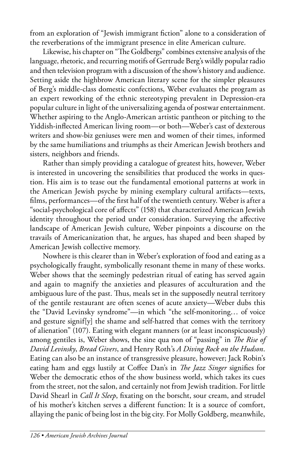from an exploration of "Jewish immigrant fiction" alone to a consideration of the reverberations of the immigrant presence in elite American culture.

Likewise, his chapter on "The Goldbergs" combines extensive analysis of the language, rhetoric, and recurring motifs of Gertrude Berg's wildly popular radio and then television program with a discussion of the show's history and audience. Setting aside the highbrow American literary scene for the simpler pleasures of Berg's middle-class domestic confections, Weber evaluates the program as an expert reworking of the ethnic stereotyping prevalent in Depression-era popular culture in light of the universalizing agenda of postwar entertainment. Whether aspiring to the Anglo-American artistic pantheon or pitching to the Yiddish-inflected American living room—or both—Weber's cast of dexterous writers and show-biz geniuses were men and women of their times, informed by the same humiliations and triumphs as their American Jewish brothers and sisters, neighbors and friends.

Rather than simply providing a catalogue of greatest hits, however, Weber is interested in uncovering the sensibilities that produced the works in question. His aim is to tease out the fundamental emotional patterns at work in the American Jewish psyche by mining exemplary cultural artifacts—texts, films, performances—of the first half of the twentieth century. Weber is after a "social-psychological core of affects" (158) that characterized American Jewish identity throughout the period under consideration. Surveying the affective landscape of American Jewish culture, Weber pinpoints a discourse on the travails of Americanization that, he argues, has shaped and been shaped by American Jewish collective memory.

Nowhere is this clearer than in Weber's exploration of food and eating as a psychologically fraught, symbolically resonant theme in many of these works. Weber shows that the seemingly pedestrian ritual of eating has served again and again to magnify the anxieties and pleasures of acculturation and the ambiguous lure of the past. Thus, meals set in the supposedly neutral territory of the gentile restaurant are often scenes of acute anxiety—Weber dubs this the "David Levinsky syndrome"—in which "the self-monitoring… of voice and gesture signif[y] the shame and self-hatred that comes with the territory of alienation" (107). Eating with elegant manners (or at least inconspicuously) among gentiles is, Weber shows, the sine qua non of "passing" in *The Rise of David Levinsky*, *Bread Givers*, and Henry Roth's *A Diving Rock on the Hudson*. Eating can also be an instance of transgressive pleasure, however; Jack Robin's eating ham and eggs lustily at Coffee Dan's in *The Jazz Singer* signifies for Weber the democratic ethos of the show business world, which takes its cues from the street, not the salon, and certainly not from Jewish tradition. For little David Shearl in *Call It Sleep*, fixating on the borscht, sour cream, and strudel of his mother's kitchen serves a different function: It is a source of comfort, allaying the panic of being lost in the big city. For Molly Goldberg, meanwhile,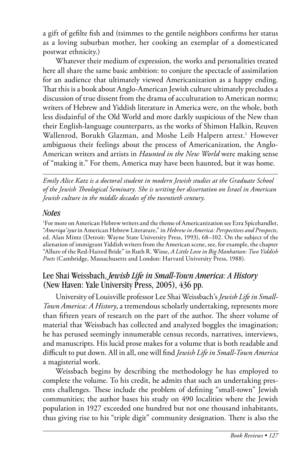a gift of gefilte fish and (tsimmes to the gentile neighbors confirms her status as a loving suburban mother, her cooking an exemplar of a domesticated postwar ethnicity.)

Whatever their medium of expression, the works and personalities treated here all share the same basic ambition: to conjure the spectacle of assimilation for an audience that ultimately viewed Americanization as a happy ending. That this is a book about Anglo-American Jewish culture ultimately precludes a discussion of true dissent from the drama of acculturation to American norms; writers of Hebrew and Yiddish literature in America were, on the whole, both less disdainful of the Old World and more darkly suspicious of the New than their English-language counterparts, as the works of Shimon Halkin, Reuven Wallenrod, Borukh Glazman, and Moshe Leib Halpern attest.<sup>1</sup> However ambiguous their feelings about the process of Americanization, the Anglo-American writers and artists in *Haunted in the New World* were making sense of "making it." For them, America may have been haunted, but it was home.

*Emily Alice Katz is a doctoral student in modern Jewish studies at the Graduate School of the Jewish Theological Seminary. She is writing her dissertation on Israel in American Jewish culture in the middle decades of the twentieth century.* 

#### *Notes*

1 For more on American Hebrew writers and the theme of Americanization see Ezra Spicehandler, "*Ameriqa'iyut* in American Hebrew Literature," in *Hebrew in America: Perspectives and Prospects,*  ed. Alan Mintz (Detroit: Wayne State University Press, 1993), 68–102. On the subject of the alienation of immigrant Yiddish writers from the American scene, see, for example, the chapter "Allure of the Red-Haired Bride" in Ruth R. Wisse, *A Little Love in Big Manhattan: Two Yiddish Poets* (Cambridge, Massachusetts and London: Harvard University Press, 1988).

# Lee Shai Weissbach, *Jewish Life in Small-Town America: A History* (New Haven: Yale University Press, 2005), 436 pp.

University of Louisville professor Lee Shai Weissbach's *Jewish Life in Small-Town America: A History*, a tremendous scholarly undertaking, represents more than fifteen years of research on the part of the author. The sheer volume of material that Weissbach has collected and analyzed boggles the imagination; he has perused seemingly innumerable census records, narratives, interviews, and manuscripts. His lucid prose makes for a volume that is both readable and difficult to put down. All in all, one will find *Jewish Life in Small-Town America*  a magisterial work.

Weissbach begins by describing the methodology he has employed to complete the volume. To his credit, he admits that such an undertaking presents challenges. These include the problem of defining "small-town" Jewish communities; the author bases his study on 490 localities where the Jewish population in 1927 exceeded one hundred but not one thousand inhabitants, thus giving rise to his "triple digit" community designation. There is also the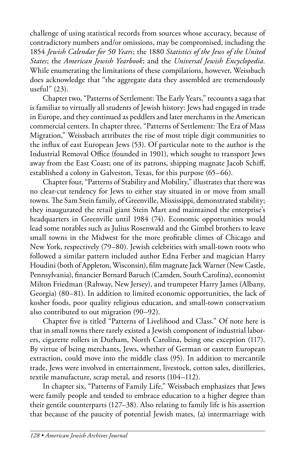challenge of using statistical records from sources whose accuracy, because of contradictory numbers and/or omissions, may be compromised, including the 1854 *Jewish Calendar for 50 Years*; the 1880 *Statistics of the Jews of the United States*; the *American Jewish Yearbook*; and the *Universal Jewish Encyclopedia*. While enumerating the limitations of these compilations, however, Weissbach does acknowledge that "the aggregate data they assembled are tremendously useful" (23).

Chapter two, "Patterns of Settlement: The Early Years," recounts a saga that is familiar to virtually all students of Jewish history: Jews had engaged in trade in Europe, and they continued as peddlers and later merchants in the American commercial centers. In chapter three, "Patterns of Settlement: The Era of Mass Migration," Weissbach attributes the rise of most triple digit communities to the influx of east European Jews (53). Of particular note to the author is the Industrial Removal Office (founded in 1901), which sought to transport Jews away from the East Coast; one of its patrons, shipping magnate Jacob Schiff, established a colony in Galveston, Texas, for this purpose (65–66).

Chapter four, "Patterns of Stability and Mobility," illustrates that there was no clear-cut tendency for Jews to either stay situated in or move from small towns. The Sam Stein family, of Greenville, Mississippi, demonstrated stability; they inaugurated the retail giant Stein Mart and maintained the enterprise's headquarters in Greenville until 1984 (74). Economic opportunities would lead some notables such as Julius Rosenwald and the Gimbel brothers to leave small towns in the Midwest for the more profitable climes of Chicago and New York, respectively (79–80). Jewish celebrities with small-town roots who followed a similar pattern included author Edna Ferber and magician Harry Houdini (both of Appleton, Wisconsin), film magnate Jack Warner (New Castle, Pennsylvania), financier Bernard Baruch (Camden, South Carolina), economist Milton Friedman (Rahway, New Jersey), and trumpeter Harry James (Albany, Georgia) (80–81). In addition to limited economic opportunities, the lack of kosher foods, poor quality religious education, and small-town conservatism also contributed to out migration (90–92).

Chapter five is titled "Patterns of Livelihood and Class." Of note here is that in small towns there rarely existed a Jewish component of industrial laborers, cigarette rollers in Durham, North Carolina, being one exception (117). By virtue of being merchants, Jews, whether of German or eastern European extraction, could move into the middle class (95). In addition to mercantile trade, Jews were involved in entertainment, livestock, cotton sales, distilleries, textile manufacture, scrap metal, and resorts (104–112).

In chapter six, "Patterns of Family Life," Weissbach emphasizes that Jews were family people and tended to embrace education to a higher degree than their gentile counterparts (127–38). Also relating to family life is his assertion that because of the paucity of potential Jewish mates, (a) intermarriage with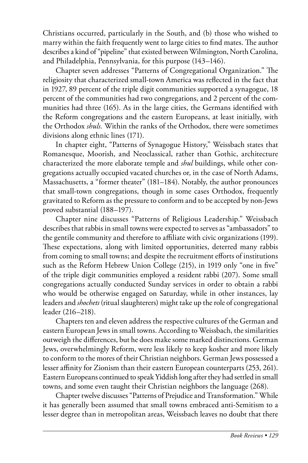Christians occurred, particularly in the South, and (b) those who wished to marry within the faith frequently went to large cities to find mates. The author describes a kind of "pipeline" that existed between Wilmington, North Carolina, and Philadelphia, Pennsylvania, for this purpose (143–146).

Chapter seven addresses "Patterns of Congregational Organization." The religiosity that characterized small-town America was reflected in the fact that in 1927, 89 percent of the triple digit communities supported a synagogue, 18 percent of the communities had two congregations, and 2 percent of the communities had three (165). As in the large cities, the Germans identified with the Reform congregations and the eastern Europeans, at least initially, with the Orthodox *shuls.* Within the ranks of the Orthodox, there were sometimes divisions along ethnic lines (171).

In chapter eight, "Patterns of Synagogue History," Weissbach states that Romanesque, Moorish, and Neoclassical, rather than Gothic, architecture characterized the more elaborate temple and *shul* buildings, while other congregations actually occupied vacated churches or, in the case of North Adams, Massachusetts, a "former theater" (181–184). Notably, the author pronounces that small-town congregations, though in some cases Orthodox, frequently gravitated to Reform as the pressure to conform and to be accepted by non-Jews proved substantial (188–197).

Chapter nine discusses "Patterns of Religious Leadership." Weissbach describes that rabbis in small towns were expected to serves as "ambassadors" to the gentile community and therefore to affiliate with civic organizations (199). These expectations, along with limited opportunities, deterred many rabbis from coming to small towns; and despite the recruitment efforts of institutions such as the Reform Hebrew Union College (215), in 1919 only "one in five" of the triple digit communities employed a resident rabbi (207). Some small congregations actually conducted Sunday services in order to obtain a rabbi who would be otherwise engaged on Saturday, while in other instances, lay leaders and *shochets* (ritual slaughterers) might take up the role of congregational leader (216–218).

Chapters ten and eleven address the respective cultures of the German and eastern European Jews in small towns. According to Weissbach, the similarities outweigh the differences, but he does make some marked distinctions. German Jews, overwhelmingly Reform, were less likely to keep kosher and more likely to conform to the mores of their Christian neighbors. German Jews possessed a lesser affinity for Zionism than their eastern European counterparts (253, 261). Eastern Europeans continued to speak Yiddish long after they had settled in small towns, and some even taught their Christian neighbors the language (268).

Chapter twelve discusses "Patterns of Prejudice and Transformation." While it has generally been assumed that small towns embraced anti-Semitism to a lesser degree than in metropolitan areas, Weissbach leaves no doubt that there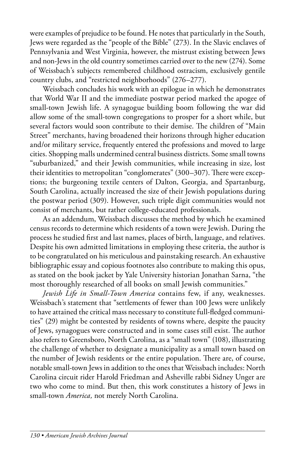were examples of prejudice to be found. He notes that particularly in the South, Jews were regarded as the "people of the Bible" (273). In the Slavic enclaves of Pennsylvania and West Virginia, however, the mistrust existing between Jews and non-Jews in the old country sometimes carried over to the new (274). Some of Weissbach's subjects remembered childhood ostracism, exclusively gentile country clubs, and "restricted neighborhoods" (276–277).

Weissbach concludes his work with an epilogue in which he demonstrates that World War II and the immediate postwar period marked the apogee of small-town Jewish life. A synagogue building boom following the war did allow some of the small-town congregations to prosper for a short while, but several factors would soon contribute to their demise. The children of "Main Street" merchants, having broadened their horizons through higher education and/or military service, frequently entered the professions and moved to large cities. Shopping malls undermined central business districts. Some small towns "suburbanized," and their Jewish communities, while increasing in size, lost their identities to metropolitan "conglomerates" (300–307). There were exceptions; the burgeoning textile centers of Dalton, Georgia, and Spartanburg, South Carolina, actually increased the size of their Jewish populations during the postwar period (309). However, such triple digit communities would not consist of merchants, but rather college-educated professionals.

As an addendum, Weissbach discusses the method by which he examined census records to determine which residents of a town were Jewish. During the process he studied first and last names, places of birth, language, and relatives. Despite his own admitted limitations in employing these criteria, the author is to be congratulated on his meticulous and painstaking research. An exhaustive bibliographic essay and copious footnotes also contribute to making this opus, as stated on the book jacket by Yale University historian Jonathan Sarna, "the most thoroughly researched of all books on small Jewish communities."

*Jewish Life in Small-Town America* contains few, if any, weaknesses. Weissbach's statement that "settlements of fewer than 100 Jews were unlikely to have attained the critical mass necessary to constitute full-fledged communities" (29) might be contested by residents of towns where, despite the paucity of Jews, synagogues were constructed and in some cases still exist. The author also refers to Greensboro, North Carolina, as a "small town" (108), illustrating the challenge of whether to designate a municipality as a small town based on the number of Jewish residents or the entire population. There are, of course, notable small-town Jews in addition to the ones that Weissbach includes: North Carolina circuit rider Harold Friedman and Asheville rabbi Sidney Unger are two who come to mind. But then, this work constitutes a history of Jews in small-town *America,* not merely North Carolina.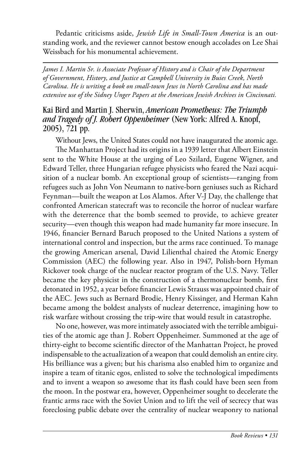Pedantic criticisms aside, *Jewish Life in Small-Town America* is an outstanding work, and the reviewer cannot bestow enough accolades on Lee Shai Weissbach for his monumental achievement.

*James I. Martin Sr. is Associate Professor of History and is Chair of the Department of Government, History, and Justice at Campbell University in Buies Creek, North Carolina. He is writing a book on small-town Jews in North Carolina and has made extensive use of the Sidney Unger Papers at the American Jewish Archives in Cincinnati.* 

### Kai Bird and Martin J. Sherwin, *American Prometheus: The Triumph and Tragedy of J. Robert Oppenheimer* (New York: Alfred A. Knopf, 2005), 721 pp.

Without Jews, the United States could not have inaugurated the atomic age.

The Manhattan Project had its origins in a 1939 letter that Albert Einstein sent to the White House at the urging of Leo Szilard, Eugene Wigner, and Edward Teller, three Hungarian refugee physicists who feared the Nazi acquisition of a nuclear bomb. An exceptional group of scientists—ranging from refugees such as John Von Neumann to native-born geniuses such as Richard Feynman—built the weapon at Los Alamos. After V-J Day, the challenge that confronted American statecraft was to reconcile the horror of nuclear warfare with the deterrence that the bomb seemed to provide, to achieve greater security—even though this weapon had made humanity far more insecure. In 1946, financier Bernard Baruch proposed to the United Nations a system of international control and inspection, but the arms race continued. To manage the growing American arsenal, David Lilienthal chaired the Atomic Energy Commission (AEC) the following year. Also in 1947, Polish-born Hyman Rickover took charge of the nuclear reactor program of the U.S. Navy. Teller became the key physicist in the construction of a thermonuclear bomb, first detonated in 1952, a year before financier Lewis Strauss was appointed chair of the AEC. Jews such as Bernard Brodie, Henry Kissinger, and Herman Kahn became among the boldest analysts of nuclear deterrence, imagining how to risk warfare without crossing the trip-wire that would result in catastrophe.

No one, however, was more intimately associated with the terrible ambiguities of the atomic age than J. Robert Oppenheimer. Summoned at the age of thirty-eight to become scientific director of the Manhattan Project, he proved indispensable to the actualization of a weapon that could demolish an entire city. His brilliance was a given; but his charisma also enabled him to organize and inspire a team of titanic egos, enlisted to solve the technological impediments and to invent a weapon so awesome that its flash could have been seen from the moon. In the postwar era, however, Oppenheimer sought to decelerate the frantic arms race with the Soviet Union and to lift the veil of secrecy that was foreclosing public debate over the centrality of nuclear weaponry to national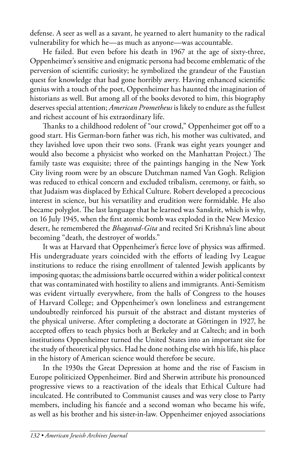defense. A seer as well as a savant, he yearned to alert humanity to the radical vulnerability for which he—as much as anyone—was accountable.

He failed. But even before his death in 1967 at the age of sixty-three, Oppenheimer's sensitive and enigmatic persona had become emblematic of the perversion of scientific curiosity; he symbolized the grandeur of the Faustian quest for knowledge that had gone horribly awry. Having enhanced scientific genius with a touch of the poet, Oppenheimer has haunted the imagination of historians as well. But among all of the books devoted to him, this biography deserves special attention; *American Prometheus* is likely to endure as the fullest and richest account of his extraordinary life.

Thanks to a childhood redolent of "our crowd," Oppenheimer got off to a good start. His German-born father was rich, his mother was cultivated, and they lavished love upon their two sons. (Frank was eight years younger and would also become a physicist who worked on the Manhattan Project.) The family taste was exquisite; three of the paintings hanging in the New York City living room were by an obscure Dutchman named Van Gogh. Religion was reduced to ethical concern and excluded tribalism, ceremony, or faith, so that Judaism was displaced by Ethical Culture. Robert developed a precocious interest in science, but his versatility and erudition were formidable. He also became polyglot. The last language that he learned was Sanskrit, which is why, on 16 July 1945, when the first atomic bomb was exploded in the New Mexico desert, he remembered the *Bhagavad-Gita* and recited Sri Krishna's line about becoming "death, the destroyer of worlds."

It was at Harvard that Oppenheimer's fierce love of physics was affirmed. His undergraduate years coincided with the efforts of leading Ivy League institutions to reduce the rising enrollment of talented Jewish applicants by imposing quotas; the admissions battle occurred within a wider political context that was contaminated with hostility to aliens and immigrants. Anti-Semitism was evident virtually everywhere, from the halls of Congress to the houses of Harvard College; and Oppenheimer's own loneliness and estrangement undoubtedly reinforced his pursuit of the abstract and distant mysteries of the physical universe. After completing a doctorate at Göttingen in 1927, he accepted offers to teach physics both at Berkeley and at Caltech; and in both institutions Oppenheimer turned the United States into an important site for the study of theoretical physics. Had he done nothing else with his life, his place in the history of American science would therefore be secure.

In the 1930s the Great Depression at home and the rise of Fascism in Europe politicized Oppenheimer. Bird and Sherwin attribute his pronounced progressive views to a reactivation of the ideals that Ethical Culture had inculcated. He contributed to Communist causes and was very close to Party members, including his fiancée and a second woman who became his wife, as well as his brother and his sister-in-law. Oppenheimer enjoyed associations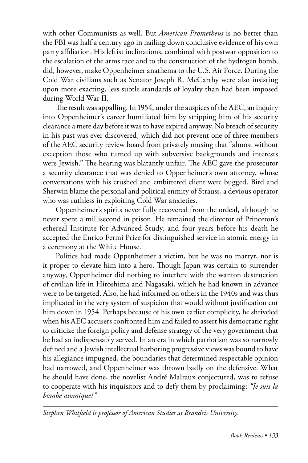with other Communists as well. But *American Prometheus* is no better than the FBI was half a century ago in nailing down conclusive evidence of his own party affiliation. His leftist inclinations, combined with postwar opposition to the escalation of the arms race and to the construction of the hydrogen bomb, did, however, make Oppenheimer anathema to the U.S. Air Force. During the Cold War civilians such as Senator Joseph R. McCarthy were also insisting upon more exacting, less subtle standards of loyalty than had been imposed during World War II.

The result was appalling. In 1954, under the auspices of the AEC, an inquiry into Oppenheimer's career humiliated him by stripping him of his security clearance a mere day before it was to have expired anyway. No breach of security in his past was ever discovered, which did not prevent one of three members of the AEC security review board from privately musing that "almost without exception those who turned up with subversive backgrounds and interests were Jewish." The hearing was blatantly unfair. The AEC gave the prosecutor a security clearance that was denied to Oppenheimer's own attorney, whose conversations with his crushed and embittered client were bugged. Bird and Sherwin blame the personal and political enmity of Strauss, a devious operator who was ruthless in exploiting Cold War anxieties.

Oppenheimer's spirits never fully recovered from the ordeal, although he never spent a millisecond in prison. He remained the director of Princeton's ethereal Institute for Advanced Study, and four years before his death he accepted the Enrico Fermi Prize for distinguished service in atomic energy in a ceremony at the White House.

Politics had made Oppenheimer a victim, but he was no martyr, nor is it proper to elevate him into a hero. Though Japan was certain to surrender anyway, Oppenheimer did nothing to interfere with the wanton destruction of civilian life in Hiroshima and Nagasaki, which he had known in advance were to be targeted. Also, he had informed on others in the 1940s and was thus implicated in the very system of suspicion that would without justification cut him down in 1954. Perhaps because of his own earlier complicity, he shriveled when his AEC accusers confronted him and failed to assert his democratic right to criticize the foreign policy and defense strategy of the very government that he had so indispensably served. In an era in which patriotism was so narrowly defined and a Jewish intellectual harboring progressive views was bound to have his allegiance impugned, the boundaries that determined respectable opinion had narrowed, and Oppenheimer was thrown badly on the defensive. What he should have done, the novelist André Malraux conjectured, was to refuse to cooperate with his inquisitors and to defy them by proclaiming: *"Je suis la bombe atomique!"* 

*Stephen Whitfield is professor of American Studies at Brandeis University.*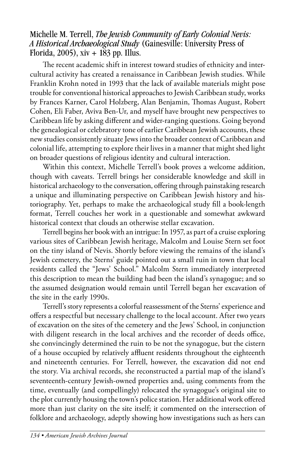### Michelle M. Terrell, *The Jewish Community of Early Colonial Nevis: A Historical Archaeological Study* (Gainesville: University Press of Florida, 2005), xiv + 183 pp. Illus.

The recent academic shift in interest toward studies of ethnicity and intercultural activity has created a renaissance in Caribbean Jewish studies. While Franklin Krohn noted in 1993 that the lack of available materials might pose trouble for conventional historical approaches to Jewish Caribbean study, works by Frances Karner, Carol Holzberg, Alan Benjamin, Thomas August, Robert Cohen, Eli Faber, Aviva Ben-Ur, and myself have brought new perspectives to Caribbean life by asking different and wider-ranging questions. Going beyond the genealogical or celebratory tone of earlier Caribbean Jewish accounts, these new studies consistently situate Jews into the broader context of Caribbean and colonial life, attempting to explore their lives in a manner that might shed light on broader questions of religious identity and cultural interaction.

Within this context, Michelle Terrell's book proves a welcome addition, though with caveats. Terrell brings her considerable knowledge and skill in historical archaeology to the conversation, offering through painstaking research a unique and illuminating perspective on Caribbean Jewish history and historiography. Yet, perhaps to make the archaeological study fill a book-length format, Terrell couches her work in a questionable and somewhat awkward historical context that clouds an otherwise stellar excavation.

Terrell begins her book with an intrigue: In 1957, as part of a cruise exploring various sites of Caribbean Jewish heritage, Malcolm and Louise Stern set foot on the tiny island of Nevis. Shortly before viewing the remains of the island's Jewish cemetery, the Sterns' guide pointed out a small ruin in town that local residents called the "Jews' School." Malcolm Stern immediately interpreted this description to mean the building had been the island's synagogue; and so the assumed designation would remain until Terrell began her excavation of the site in the early 1990s.

Terrell's story represents a colorful reassessment of the Sterns' experience and offers a respectful but necessary challenge to the local account. After two years of excavation on the sites of the cemetery and the Jews' School, in conjunction with diligent research in the local archives and the recorder of deeds office, she convincingly determined the ruin to be not the synagogue, but the cistern of a house occupied by relatively affluent residents throughout the eighteenth and nineteenth centuries. For Terrell, however, the excavation did not end the story. Via archival records, she reconstructed a partial map of the island's seventeenth-century Jewish-owned properties and, using comments from the time, eventually (and compellingly) relocated the synagogue's original site to the plot currently housing the town's police station. Her additional work offered more than just clarity on the site itself; it commented on the intersection of folklore and archaeology, adeptly showing how investigations such as hers can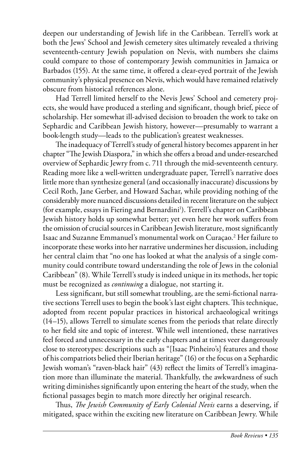deepen our understanding of Jewish life in the Caribbean. Terrell's work at both the Jews' School and Jewish cemetery sites ultimately revealed a thriving seventeenth-century Jewish population on Nevis, with numbers she claims could compare to those of contemporary Jewish communities in Jamaica or Barbados (155). At the same time, it offered a clear-eyed portrait of the Jewish community's physical presence on Nevis, which would have remained relatively obscure from historical references alone.

Had Terrell limited herself to the Nevis Jews' School and cemetery projects, she would have produced a sterling and significant, though brief, piece of scholarship. Her somewhat ill-advised decision to broaden the work to take on Sephardic and Caribbean Jewish history, however—presumably to warrant a book-length study—leads to the publication's greatest weaknesses.

The inadequacy of Terrell's study of general history becomes apparent in her chapter "The Jewish Diaspora," in which she offers a broad and under-researched overview of Sephardic Jewry from c. 711 through the mid-seventeenth century. Reading more like a well-written undergraduate paper, Terrell's narrative does little more than synthesize general (and occasionally inaccurate) discussions by Cecil Roth, Jane Gerber, and Howard Sachar, while providing nothing of the considerably more nuanced discussions detailed in recent literature on the subject (for example, essays in Fiering and Bernardini<sup>1</sup>). Terrell's chapter on Caribbean Jewish history holds up somewhat better; yet even here her work suffers from the omission of crucial sources in Caribbean Jewish literature, most significantly Isaac and Suzanne Emmanuel's monumental work on Curaçao.2 Her failure to incorporate these works into her narrative undermines her discussion, including her central claim that "no one has looked at what the analysis of a single community could contribute toward understanding the role of Jews in the colonial Caribbean" (8). While Terrell's study is indeed unique in its methods, her topic must be recognized as *continuing* a dialogue, not starting it.

Less significant, but still somewhat troubling, are the semi-fictional narrative sections Terrell uses to begin the book's last eight chapters. This technique, adopted from recent popular practices in historical archaeological writings (14–15), allows Terrell to simulate scenes from the periods that relate directly to her field site and topic of interest. While well intentioned, these narratives feel forced and unnecessary in the early chapters and at times veer dangerously close to stereotypes: descriptions such as "[Isaac Pinheiro's] features and those of his compatriots belied their Iberian heritage" (16) or the focus on a Sephardic Jewish woman's "raven-black hair" (43) reflect the limits of Terrell's imagination more than illuminate the material. Thankfully, the awkwardness of such writing diminishes significantly upon entering the heart of the study, when the fictional passages begin to match more directly her original research.

Thus, *The Jewish Community of Early Colonial Nevis* earns a deserving, if mitigated, space within the exciting new literature on Caribbean Jewry. While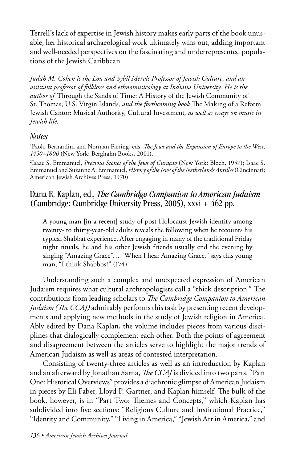Terrell's lack of expertise in Jewish history makes early parts of the book unusable, her historical archaeological work ultimately wins out, adding important and well-needed perspectives on the fascinating and underrepresented populations of the Jewish Caribbean.

*Judah M. Cohen is the Lou and Sybil Mervis Professor of Jewish Culture, and an assistant professor of folklore and ethnomusicology at Indiana University. He is the author of* Through the Sands of Time: A History of the Jewish Community of St. Thomas, U.S. Virgin Islands*, and the forthcoming book* The Making of a Reform Jewish Cantor: Musical Authority, Cultural Investment*, as well as essays on music in Jewish life.* 

# *Notes*

<sup>1</sup> Paolo Bernardini and Norman Fiering, eds. *The Jews and the Expansion of Europe to the West*, *1450–1800* (New York: Berghahn Books, 2001).

2 Isaac S. Emmanuel, *Precious Stones of the Jews of Curaçao* (New York: Bloch, 1957); Isaac S. Emmanuel and Suzanne A. Emmanuel, *History of the Jews of the Netherlands Antilles* (Cincinnati: American Jewish Archives Press, 1970).

# Dana E. Kaplan, ed., *The Cambridge Companion to American Judaism* (Cambridge: Cambridge University Press, 2005), xxvi + 462 pp.

A young man [in a recent] study of post-Holocaust Jewish identity among twenty- to thirty-year-old adults reveals the following when he recounts his typical Shabbat experience. After engaging in many of the traditional Friday night rituals, he and his other Jewish friends usually end the evening by singing "Amazing Grace"… "When I hear Amazing Grace," says this young man, "I think Shabbos!" (174)

Understanding such a complex and unexpected expression of American Judaism requires what cultural anthropologists call a "thick description." The contributions from leading scholars to *The Cambridge Companion to American Judaism (The CCAJ)* admirably performs this task by presenting recent developments and applying new methods in the study of Jewish religion in America. Ably edited by Dana Kaplan, the volume includes pieces from various disciplines that dialogically complement each other. Both the points of agreement and disagreement between the articles serve to highlight the major trends of American Judaism as well as areas of contested interpretation.

Consisting of twenty-three articles as well as an introduction by Kaplan and an afterward by Jonathan Sarna, *The CCAJ* is divided into two parts. "Part One: Historical Overviews" provides a diachronic glimpse of American Judaism in pieces by Eli Faber, Lloyd P. Gartner, and Kaplan himself. The bulk of the book, however, is in "Part Two: Themes and Concepts," which Kaplan has subdivided into five sections: "Religious Culture and Institutional Practice," "Identity and Community," "Living in America," "Jewish Art in America," and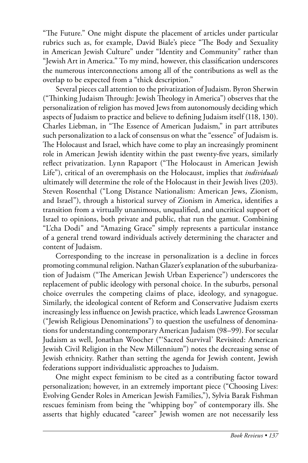"The Future." One might dispute the placement of articles under particular rubrics such as, for example, David Biale's piece "The Body and Sexuality in American Jewish Culture" under "Identity and Community" rather than "Jewish Art in America." To my mind, however, this classification underscores the numerous interconnections among all of the contributions as well as the overlap to be expected from a "thick description."

Several pieces call attention to the privatization of Judaism. Byron Sherwin ("Thinking Judaism Through: Jewish Theology in America") observes that the personalization of religion has moved Jews from autonomously deciding which aspects of Judaism to practice and believe to defining Judaism itself (118, 130). Charles Liebman, in "The Essence of American Judaism," in part attributes such personalization to a lack of consensus on what the "essence" of Judaism is. The Holocaust and Israel, which have come to play an increasingly prominent role in American Jewish identity within the past twenty-five years, similarly reflect privatization. Lynn Rapaport ("The Holocaust in American Jewish Life"), critical of an overemphasis on the Holocaust, implies that *individuals* ultimately will determine the role of the Holocaust in their Jewish lives (203). Steven Rosenthal ("Long Distance Nationalism: American Jews, Zionism, and Israel"), through a historical survey of Zionism in America, identifies a transition from a virtually unanimous, unqualified, and uncritical support of Israel to opinions, both private and public, that run the gamut. Combining "L'cha Dodi" and "Amazing Grace" simply represents a particular instance of a general trend toward individuals actively determining the character and content of Judaism.

Corresponding to the increase in personalization is a decline in forces promoting communal religion. Nathan Glazer's explanation of the suburbanization of Judaism ("The American Jewish Urban Experience") underscores the replacement of public ideology with personal choice. In the suburbs, personal choice overrules the competing claims of place, ideology, and synagogue. Similarly, the ideological content of Reform and Conservative Judaism exerts increasingly less influence on Jewish practice, which leads Lawrence Grossman ("Jewish Religious Denominations") to question the usefulness of denominations for understanding contemporary American Judaism (98–99). For secular Judaism as well, Jonathan Woocher ("'Sacred Survival' Revisited: American Jewish Civil Religion in the New Millennium") notes the decreasing sense of Jewish ethnicity. Rather than setting the agenda for Jewish content, Jewish federations support individualistic approaches to Judaism.

One might expect feminism to be cited as a contributing factor toward personalization; however, in an extremely important piece ("Choosing Lives: Evolving Gender Roles in American Jewish Families,"), Sylvia Barak Fishman rescues feminism from being the "whipping boy" of contemporary ills. She asserts that highly educated "career" Jewish women are not necessarily less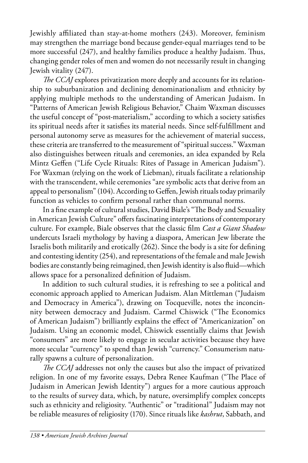Jewishly affiliated than stay-at-home mothers (243). Moreover, feminism may strengthen the marriage bond because gender-equal marriages tend to be more successful (247), and healthy families produce a healthy Judaism. Thus, changing gender roles of men and women do not necessarily result in changing Jewish vitality (247).

*The CCAJ* explores privatization more deeply and accounts for its relationship to suburbanization and declining denominationalism and ethnicity by applying multiple methods to the understanding of American Judaism. In "Patterns of American Jewish Religious Behavior," Chaim Waxman discusses the useful concept of "post-materialism," according to which a society satisfies its spiritual needs after it satisfies its material needs. Since self-fulfillment and personal autonomy serve as measures for the achievement of material success, these criteria are transferred to the measurement of "spiritual success." Waxman also distinguishes between rituals and ceremonies, an idea expanded by Rela Mintz Geffen ("Life Cycle Rituals: Rites of Passage in American Judaism"). For Waxman (relying on the work of Liebman), rituals facilitate a relationship with the transcendent, while ceremonies "are symbolic acts that derive from an appeal to personalism" (104). According to Geffen, Jewish rituals today primarily function as vehicles to confirm personal rather than communal norms.

In a fine example of cultural studies, David Biale's "The Body and Sexuality in American Jewish Culture" offers fascinating interpretations of contemporary culture. For example, Biale observes that the classic film *Cast a Giant Shadow* undercuts Israeli mythology by having a diaspora, American Jew liberate the Israelis both militarily and erotically (262). Since the body is a site for defining and contesting identity (254), and representations of the female and male Jewish bodies are constantly being reimagined, then Jewish identity is also fluid—which allows space for a personalized definition of Judaism.

In addition to such cultural studies, it is refreshing to see a political and economic approach applied to American Judaism. Alan Mittleman ("Judaism and Democracy in America"), drawing on Tocqueville, notes the inconcinnity between democracy and Judaism. Carmel Chiswick ("The Economics of American Judaism") brilliantly explains the effect of "Americanization" on Judaism. Using an economic model, Chiswick essentially claims that Jewish "consumers" are more likely to engage in secular activities because they have more secular "currency" to spend than Jewish "currency." Consumerism naturally spawns a culture of personalization.

*The CCAJ* addresses not only the causes but also the impact of privatized religion. In one of my favorite essays, Debra Renee Kaufman ("The Place of Judaism in American Jewish Identity") argues for a more cautious approach to the results of survey data, which, by nature, oversimplify complex concepts such as ethnicity and religiosity. "Authentic" or "traditional" Judaism may not be reliable measures of religiosity (170). Since rituals like *kashrut*, Sabbath, and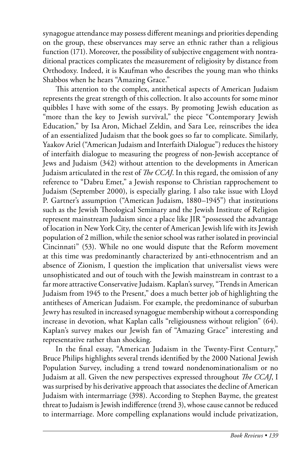synagogue attendance may possess different meanings and priorities depending on the group, these observances may serve an ethnic rather than a religious function (171). Moreover, the possibility of subjective engagement with nontraditional practices complicates the measurement of religiosity by distance from Orthodoxy. Indeed, it is Kaufman who describes the young man who thinks Shabbos when he hears "Amazing Grace."

This attention to the complex, antithetical aspects of American Judaism represents the great strength of this collection. It also accounts for some minor quibbles I have with some of the essays. By promoting Jewish education as "more than the key to Jewish survival," the piece "Contemporary Jewish Education," by Isa Aron, Michael Zeldin, and Sara Lee, reinscribes the idea of an essentialized Judaism that the book goes so far to complicate. Similarly, Yaakov Ariel ("American Judaism and Interfaith Dialogue") reduces the history of interfaith dialogue to measuring the progress of non-Jewish acceptance of Jews and Judaism (342) without attention to the developments in American Judaism articulated in the rest of *The CCAJ*. In this regard, the omission of any reference to "Dabru Emet," a Jewish response to Christian rapprochement to Judaism (September 2000), is especially glaring. I also take issue with Lloyd P. Gartner's assumption ("American Judaism, 1880–1945") that institutions such as the Jewish Theological Seminary and the Jewish Institute of Religion represent mainstream Judaism since a place like JIR "possessed the advantage of location in New York City, the center of American Jewish life with its Jewish population of 2 million, while the senior school was rather isolated in provincial Cincinnati" (53). While no one would dispute that the Reform movement at this time was predominantly characterized by anti-ethnocentrism and an absence of Zionism, I question the implication that universalist views were unsophisticated and out of touch with the Jewish mainstream in contrast to a far more attractive Conservative Judaism. Kaplan's survey, "Trends in American Judaism from 1945 to the Present," does a much better job of highlighting the antitheses of American Judaism. For example, the predominance of suburban Jewry has resulted in increased synagogue membership without a corresponding increase in devotion, what Kaplan calls "religiousness without religion" (64). Kaplan's survey makes our Jewish fan of "Amazing Grace" interesting and representative rather than shocking.

In the final essay, "American Judaism in the Twenty-First Century," Bruce Philips highlights several trends identified by the 2000 National Jewish Population Survey, including a trend toward nondenominationalism or no Judaism at all. Given the new perspectives expressed throughout *The CCAJ*, I was surprised by his derivative approach that associates the decline of American Judaism with intermarriage (398). According to Stephen Bayme, the greatest threat to Judaism is Jewish indifference (trend 3), whose cause cannot be reduced to intermarriage. More compelling explanations would include privatization,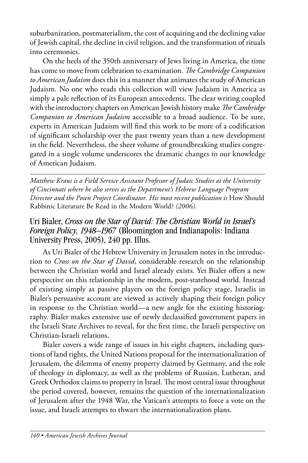suburbanization, postmaterialism, the cost of acquiring and the declining value of Jewish capital, the decline in civil religion, and the transformation of rituals into ceremonies.

On the heels of the 350th anniversary of Jews living in America, the time has come to move from celebration to examination. *The Cambridge Companion to American Judaism* does this in a manner that animates the study of American Judaism. No one who reads this collection will view Judaism in America as simply a pale reflection of its European antecedents. The clear writing coupled with the introductory chapters on American Jewish history make *The Cambridge Companion to American Judaism* accessible to a broad audience. To be sure, experts in American Judaism will find this work to be more of a codification of significant scholarship over the past twenty years than a new development in the field. Nevertheless, the sheer volume of groundbreaking studies congregated in a single volume underscores the dramatic changes to our knowledge of American Judaism.

*Matthew Kraus is a Field Service Assistant Professor of Judaic Studies at the University of Cincinnati where he also serves as the Department's Hebrew Language Program Director and the Posen Project Coordinator. His most recent publication is* How Should Rabbinic Literature Be Read in the Modern World? *(2006).* 

# Uri Bialer, *Cross on the Star of David: The Christian World in Israel's Foreign Policy, 1948–1967* (Bloomington and Indianapolis: Indiana University Press, 2005), 240 pp. Illus.

As Uri Bialer of the Hebrew University in Jerusalem notes in the introduction to *Cross on the Star of David*, considerable research on the relationship between the Christian world and Israel already exists. Yet Bialer offers a new perspective on this relationship in the modern, post-statehood world. Instead of existing simply as passive players on the foreign policy stage, Israelis in Bialer's persuasive account are viewed as actively shaping their foreign policy in response to the Christian world—a new angle for the existing historiography. Bialer makes extensive use of newly declassified government papers in the Israeli State Archives to reveal, for the first time, the Israeli perspective on Christian-Israeli relations.

Bialer covers a wide range of issues in his eight chapters, including questions of land rights, the United Nations proposal for the internationalization of Jerusalem, the dilemma of enemy property claimed by Germany, and the role of theology in diplomacy, as well as the problems of Russian, Lutheran, and Greek Orthodox claims to property in Israel. The most central issue throughout the period covered, however, remains the question of the internationalization of Jerusalem after the 1948 War, the Vatican's attempts to force a vote on the issue, and Israeli attempts to thwart the internationalization plans.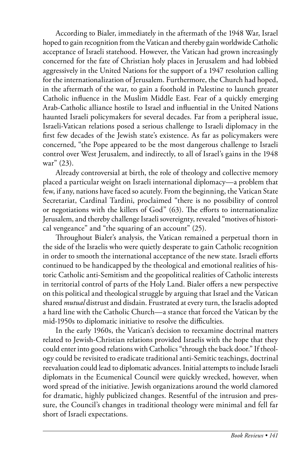According to Bialer, immediately in the aftermath of the 1948 War, Israel hoped to gain recognition from the Vatican and thereby gain worldwide Catholic acceptance of Israeli statehood. However, the Vatican had grown increasingly concerned for the fate of Christian holy places in Jerusalem and had lobbied aggressively in the United Nations for the support of a 1947 resolution calling for the internationalization of Jerusalem. Furthermore, the Church had hoped, in the aftermath of the war, to gain a foothold in Palestine to launch greater Catholic influence in the Muslim Middle East. Fear of a quickly emerging Arab-Catholic alliance hostile to Israel and influential in the United Nations haunted Israeli policymakers for several decades. Far from a peripheral issue, Israeli-Vatican relations posed a serious challenge to Israeli diplomacy in the first few decades of the Jewish state's existence. As far as policymakers were concerned, "the Pope appeared to be the most dangerous challenge to Israeli control over West Jerusalem, and indirectly, to all of Israel's gains in the 1948 war" (23).

Already controversial at birth, the role of theology and collective memory placed a particular weight on Israeli international diplomacy—a problem that few, if any, nations have faced so acutely. From the beginning, the Vatican State Secretariat, Cardinal Tardini, proclaimed "there is no possibility of control or negotiations with the killers of God" (63). The efforts to internationalize Jerusalem, and thereby challenge Israeli sovereignty, revealed "motives of historical vengeance" and "the squaring of an account" (25).

Throughout Bialer's analysis, the Vatican remained a perpetual thorn in the side of the Israelis who were quietly desperate to gain Catholic recognition in order to smooth the international acceptance of the new state. Israeli efforts continued to be handicapped by the theological and emotional realities of historic Catholic anti-Semitism and the geopolitical realities of Catholic interests in territorial control of parts of the Holy Land. Bialer offers a new perspective on this political and theological struggle by arguing that Israel and the Vatican shared *mutual* distrust and disdain. Frustrated at every turn, the Israelis adopted a hard line with the Catholic Church—a stance that forced the Vatican by the mid-1950s to diplomatic initiative to resolve the difficulties.

In the early 1960s, the Vatican's decision to reexamine doctrinal matters related to Jewish-Christian relations provided Israelis with the hope that they could enter into good relations with Catholics "through the back door." If theology could be revisited to eradicate traditional anti-Semitic teachings, doctrinal reevaluation could lead to diplomatic advances. Initial attempts to include Israeli diplomats in the Ecumenical Council were quickly wrecked, however, when word spread of the initiative. Jewish organizations around the world clamored for dramatic, highly publicized changes. Resentful of the intrusion and pressure, the Council's changes in traditional theology were minimal and fell far short of Israeli expectations.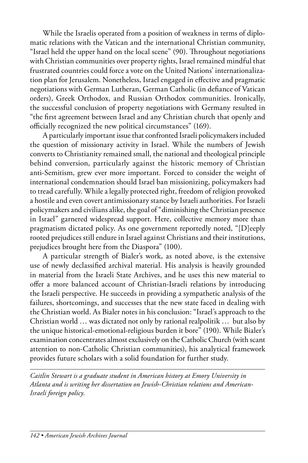While the Israelis operated from a position of weakness in terms of diplomatic relations with the Vatican and the international Christian community, "Israel held the upper hand on the local scene" (90). Throughout negotiations with Christian communities over property rights, Israel remained mindful that frustrated countries could force a vote on the United Nations' internationalization plan for Jerusalem. Nonetheless, Israel engaged in effective and pragmatic negotiations with German Lutheran, German Catholic (in defiance of Vatican orders), Greek Orthodox, and Russian Orthodox communities. Ironically, the successful conclusion of property negotiations with Germany resulted in "the first agreement between Israel and any Christian church that openly and officially recognized the new political circumstances" (169).

A particularly important issue that confronted Israeli policymakers included the question of missionary activity in Israel. While the numbers of Jewish converts to Christianity remained small, the national and theological principle behind conversion, particularly against the historic memory of Christian anti-Semitism, grew ever more important. Forced to consider the weight of international condemnation should Israel ban missionizing, policymakers had to tread carefully. While a legally protected right, freedom of religion provoked a hostile and even covert antimissionary stance by Israeli authorities. For Israeli policymakers and civilians alike, the goal of "diminishing the Christian presence in Israel" garnered widespread support. Here, collective memory more than pragmatism dictated policy. As one government reportedly noted, "[D]eeply rooted prejudices still endure in Israel against Christians and their institutions, prejudices brought here from the Diaspora" (100).

A particular strength of Bialer's work, as noted above, is the extensive use of newly declassified archival material. His analysis is heavily grounded in material from the Israeli State Archives, and he uses this new material to offer a more balanced account of Christian-Israeli relations by introducing the Israeli perspective. He succeeds in providing a sympathetic analysis of the failures, shortcomings, and successes that the new state faced in dealing with the Christian world. As Bialer notes in his conclusion: "Israel's approach to the Christian world … was dictated not only by rational realpolitik … but also by the unique historical-emotional-religious burden it bore" (190). While Bialer's examination concentrates almost exclusively on the Catholic Church (with scant attention to non-Catholic Christian communities), his analytical framework provides future scholars with a solid foundation for further study.

*Caitlin Stewart is a graduate student in American history at Emory University in Atlanta and is writing her dissertation on Jewish-Christian relations and American-Israeli foreign policy.*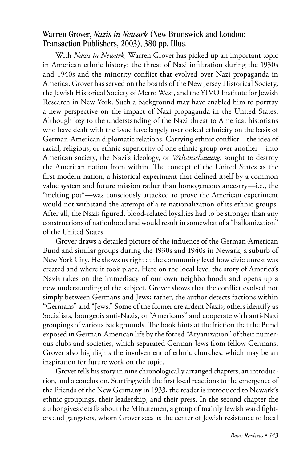#### Warren Grover, *Nazis in Newark* (New Brunswick and London: Transaction Publishers, 2003), 380 pp. Illus.

With *Nazis in Newark,* Warren Grover has picked up an important topic in American ethnic history: the threat of Nazi infiltration during the 1930s and 1940s and the minority conflict that evolved over Nazi propaganda in America. Grover has served on the boards of the New Jersey Historical Society, the Jewish Historical Society of Metro West, and the YIVO Institute for Jewish Research in New York. Such a background may have enabled him to portray a new perspective on the impact of Nazi propaganda in the United States. Although key to the understanding of the Nazi threat to America, historians who have dealt with the issue have largely overlooked ethnicity on the basis of German-American diplomatic relations. Carrying ethnic conflict—the idea of racial, religious, or ethnic superiority of one ethnic group over another—into American society, the Nazi's ideology, or *Weltanschauung*, sought to destroy the American nation from within. The concept of the United States as the first modern nation, a historical experiment that defined itself by a common value system and future mission rather than homogeneous ancestry—i.e., the "melting pot"—was consciously attacked to prove the American experiment would not withstand the attempt of a re-nationalization of its ethnic groups. After all, the Nazis figured, blood-related loyalties had to be stronger than any constructions of nationhood and would result in somewhat of a "balkanization" of the United States.

Grover draws a detailed picture of the influence of the German-American Bund and similar groups during the 1930s and 1940s in Newark, a suburb of New York City. He shows us right at the community level how civic unrest was created and where it took place. Here on the local level the story of America's Nazis takes on the immediacy of our own neighborhoods and opens up a new understanding of the subject. Grover shows that the conflict evolved not simply between Germans and Jews; rather, the author detects factions within "Germans" and "Jews." Some of the former are ardent Nazis; others identify as Socialists, bourgeois anti-Nazis, or "Americans" and cooperate with anti-Nazi groupings of various backgrounds. The book hints at the friction that the Bund exposed in German-American life by the forced "Aryanization" of their numerous clubs and societies, which separated German Jews from fellow Germans. Grover also highlights the involvement of ethnic churches, which may be an inspiration for future work on the topic.

Grover tells his story in nine chronologically arranged chapters, an introduction, and a conclusion. Starting with the first local reactions to the emergence of the Friends of the New Germany in 1933, the reader is introduced to Newark's ethnic groupings, their leadership, and their press. In the second chapter the author gives details about the Minutemen, a group of mainly Jewish ward fighters and gangsters, whom Grover sees as the center of Jewish resistance to local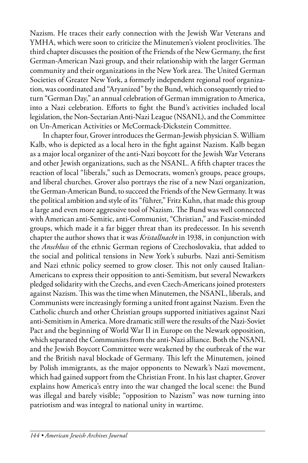Nazism. He traces their early connection with the Jewish War Veterans and YMHA, which were soon to criticize the Minutemen's violent proclivities. The third chapter discusses the position of the Friends of the New Germany, the first German-American Nazi group, and their relationship with the larger German community and their organizations in the New York area. The United German Societies of Greater New York, a formerly independent regional roof organization, was coordinated and "Aryanized" by the Bund, which consequently tried to turn "German Day," an annual celebration of German immigration to America, into a Nazi celebration. Efforts to fight the Bund's activities included local legislation, the Non-Sectarian Anti-Nazi League (NSANL), and the Committee on Un-American Activities or McCormack-Dickstein Committee.

In chapter four, Grover introduces the German-Jewish physician S. William Kalb, who is depicted as a local hero in the fight against Nazism. Kalb began as a major local organizer of the anti-Nazi boycott for the Jewish War Veterans and other Jewish organizations, such as the NSANL. A fifth chapter traces the reaction of local "liberals," such as Democrats, women's groups, peace groups, and liberal churches. Grover also portrays the rise of a new Nazi organization, the German-American Bund, to succeed the Friends of the New Germany. It was the political ambition and style of its "führer," Fritz Kuhn, that made this group a large and even more aggressive tool of Nazism. The Bund was well connected with American anti-Semitic, anti-Communist, "Christian," and Fascist-minded groups, which made it a far bigger threat than its predecessor. In his seventh chapter the author shows that it was *Kristallnacht* in 1938, in conjunction with the *Anschluss* of the ethnic German regions of Czechoslovakia, that added to the social and political tensions in New York's suburbs. Nazi anti-Semitism and Nazi ethnic policy seemed to grow closer. This not only caused Italian-Americans to express their opposition to anti-Semitism, but several Newarkers pledged solidarity with the Czechs, and even Czech-Americans joined protesters against Nazism. This was the time when Minutemen, the NSANL, liberals, and Communists were increasingly forming a united front against Nazism. Even the Catholic church and other Christian groups supported initiatives against Nazi anti-Semitism in America. More dramatic still were the results of the Nazi-Soviet Pact and the beginning of World War II in Europe on the Newark opposition, which separated the Communists from the anti-Nazi alliance. Both the NSANL and the Jewish Boycott Committee were weakened by the outbreak of the war and the British naval blockade of Germany. This left the Minutemen, joined by Polish immigrants, as the major opponents to Newark's Nazi movement, which had gained support from the Christian Front. In his last chapter, Grover explains how America's entry into the war changed the local scene: the Bund was illegal and barely visible; "opposition to Nazism" was now turning into patriotism and was integral to national unity in wartime.